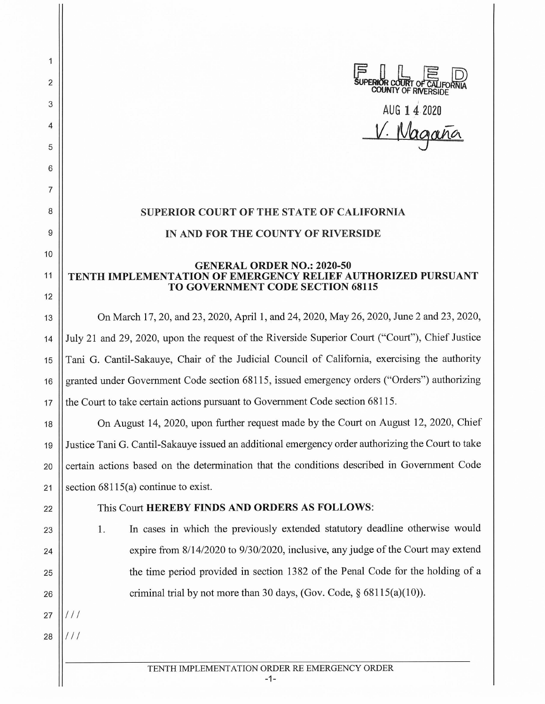AUG **1** 4 2020 Magan

## **SUPERIOR COURT OF THE STATE OF CALIFORNIA IN AND FOR THE COUNTY OF RIVERSIDE**

## **GENERAL ORDER NO.: 2020-50**  11 **TENTH IMPLEMENTATION OF EMERGENCY RELIEF AUTHORIZED PURSUANT TO GOVERNMENT CODE SECTION 68115**

13 On March 17, 20, and 23, 2020, April 1, and 24, 2020, May 26, 2020, June 2 and 23, 2020, 14 July 21 and 29, 2020, upon the request of the Riverside Superior Court ("Court"), Chief Justice 15 Tani G. Cantil-Sakauye, Chair of the Judicial Council of California, exercising the authority 16 || granted under Government Code section 68115, issued emergency orders ("Orders") authorizing 17  $\parallel$  the Court to take certain actions pursuant to Government Code section 68115.

18 On August 14, 2020, upon further request made by the Court on August 12, 2020, Chief 19 Justice Tani G. Cantil-Sakauye issued an additional emergency order authorizing the Court to take 20 Certain actions based on the determination that the conditions described in Government Code 21 Section  $68115(a)$  continue to exist.

## 22 This Court **HEREBY FINDS AND ORDERS AS FOLLOWS:**

 $27$ 

28

2

1

3

4

5

6

7

8

9

10

12

23 |  $\vert$  1. In cases in which the previously extended statutory deadline otherwise would 24 | expire from 8/14/2020 to 9/30/2020, inclusive, any judge of the Court may extend 25 | the time period provided in section 1382 of the Penal Code for the holding of a 26  $\parallel$  criminal trial by not more than 30 days, (Gov. Code, § 68115(a)(10)).

TENTH IMPLEMENTATION ORDER RE EMERGENCY ORDER